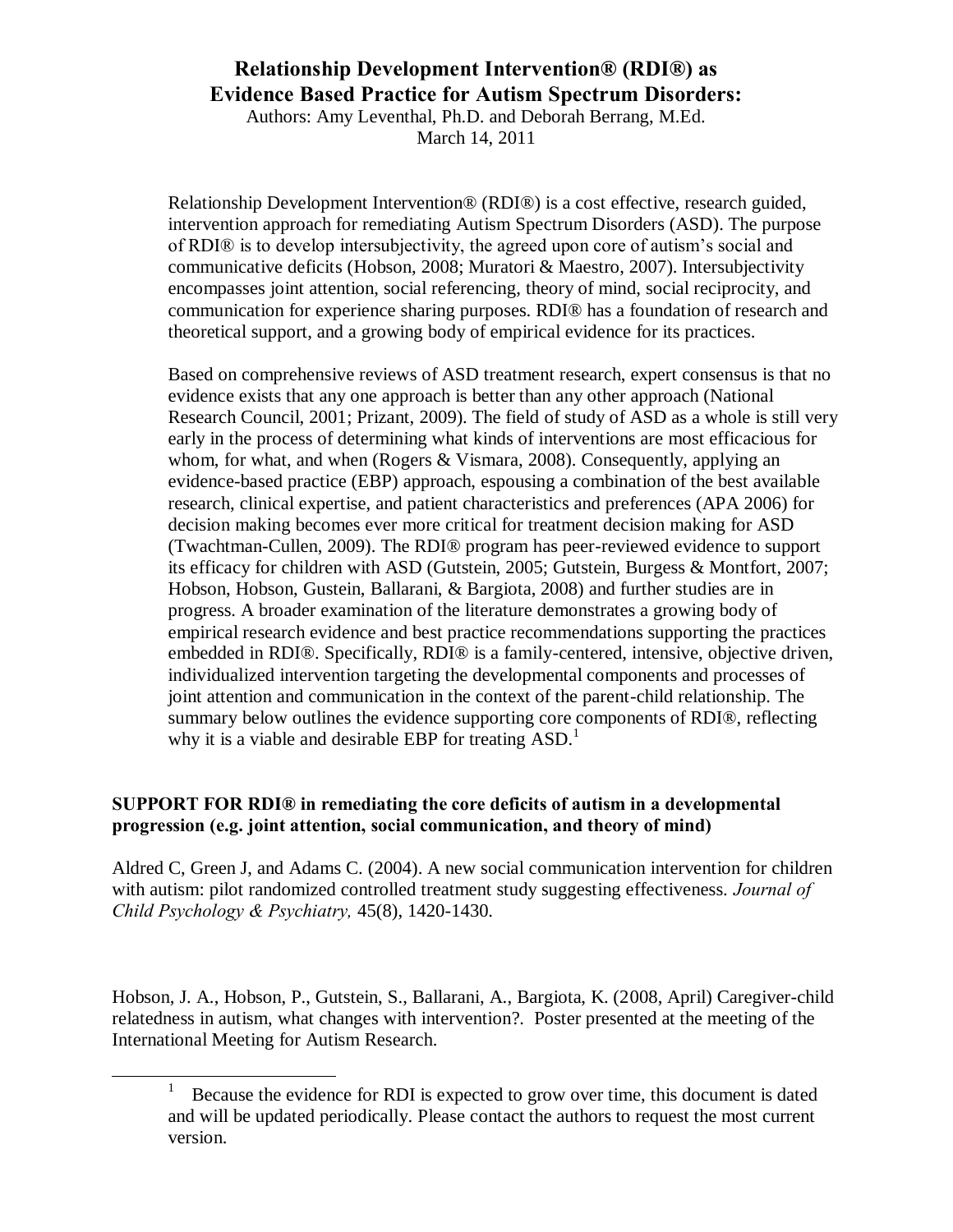Authors: Amy Leventhal, Ph.D. and Deborah Berrang, M.Ed. March 14, 2011

Relationship Development Intervention® (RDI®) is a cost effective, research guided, intervention approach for remediating Autism Spectrum Disorders (ASD). The purpose of RDI® is to develop intersubjectivity, the agreed upon core of autism's social and communicative deficits (Hobson, 2008; Muratori & Maestro, 2007). Intersubjectivity encompasses joint attention, social referencing, theory of mind, social reciprocity, and communication for experience sharing purposes. RDI® has a foundation of research and theoretical support, and a growing body of empirical evidence for its practices.

Based on comprehensive reviews of ASD treatment research, expert consensus is that no evidence exists that any one approach is better than any other approach (National Research Council, 2001; Prizant, 2009). The field of study of ASD as a whole is still very early in the process of determining what kinds of interventions are most efficacious for whom, for what, and when (Rogers & Vismara, 2008). Consequently, applying an evidence-based practice (EBP) approach, espousing a combination of the best available research, clinical expertise, and patient characteristics and preferences (APA 2006) for decision making becomes ever more critical for treatment decision making for ASD (Twachtman-Cullen, 2009). The RDI® program has peer-reviewed evidence to support its efficacy for children with ASD (Gutstein, 2005; Gutstein, Burgess & Montfort, 2007; Hobson, Hobson, Gustein, Ballarani, & Bargiota, 2008) and further studies are in progress. A broader examination of the literature demonstrates a growing body of empirical research evidence and best practice recommendations supporting the practices embedded in RDI®. Specifically, RDI® is a family-centered, intensive, objective driven, individualized intervention targeting the developmental components and processes of joint attention and communication in the context of the parent-child relationship. The summary below outlines the evidence supporting core components of RDI®, reflecting why it is a viable and desirable EBP for treating  $ASD<sup>1</sup>$ .

#### **SUPPORT FOR RDI® in remediating the core deficits of autism in a developmental progression (e.g. joint attention, social communication, and theory of mind)**

Aldred C, Green J, and Adams C. (2004). A new social communication intervention for children with autism: pilot randomized controlled treatment study suggesting effectiveness. *Journal of Child Psychology & Psychiatry,* 45(8), 1420-1430.

Hobson, J. A., Hobson, P., Gutstein, S., Ballarani, A., Bargiota, K. (2008, April) Caregiver-child relatedness in autism, what changes with intervention?. Poster presented at the meeting of the International Meeting for Autism Research.

 $\overline{a}$ 

<sup>1</sup> Because the evidence for RDI is expected to grow over time, this document is dated and will be updated periodically. Please contact the authors to request the most current version.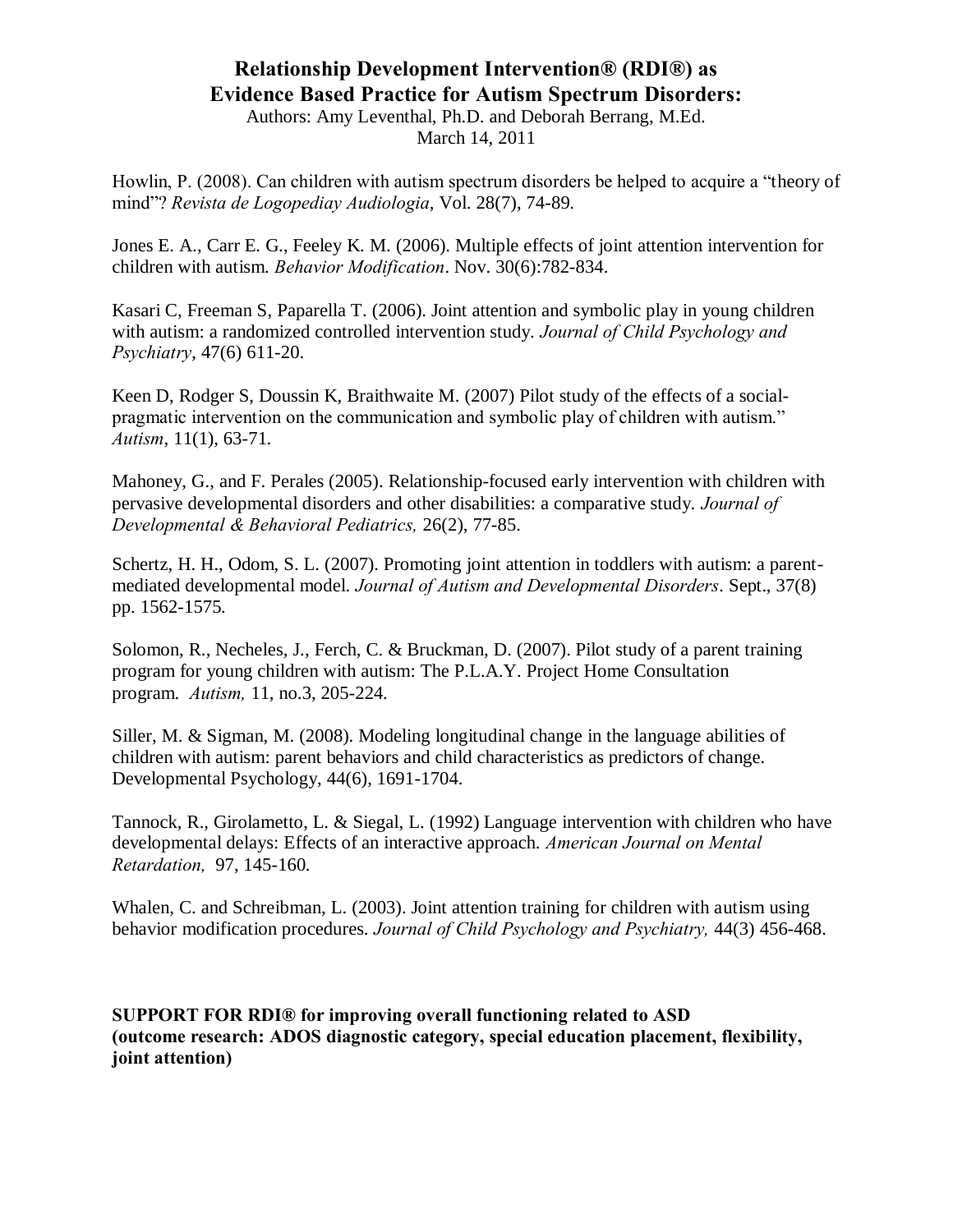Authors: Amy Leventhal, Ph.D. and Deborah Berrang, M.Ed. March 14, 2011

Howlin, P. (2008). Can children with autism spectrum disorders be helped to acquire a "theory of mind"? *Revista de Logopediay Audiologia*, Vol. 28(7), 74-89.

[Jones E. A.](http://www.ncbi.nlm.nih.gov/sites/entrez?Db=pubmed&Cmd=Search&Term=%22Jones%20EA%22%5BAuthor%5D&itool=EntrezSystem2.PEntrez.Pubmed.Pubmed_ResultsPanel.Pubmed_DiscoveryPanel.Pubmed_RVAbstractPlus), [Carr E.](http://www.ncbi.nlm.nih.gov/sites/entrez?Db=pubmed&Cmd=Search&Term=%22Carr%20EG%22%5BAuthor%5D&itool=EntrezSystem2.PEntrez.Pubmed.Pubmed_ResultsPanel.Pubmed_DiscoveryPanel.Pubmed_RVAbstractPlus) G., [Feeley K. M.](http://www.ncbi.nlm.nih.gov/sites/entrez?Db=pubmed&Cmd=Search&Term=%22Feeley%20KM%22%5BAuthor%5D&itool=EntrezSystem2.PEntrez.Pubmed.Pubmed_ResultsPanel.Pubmed_DiscoveryPanel.Pubmed_RVAbstractPlus) (2006). Multiple effects of joint attention intervention for children with autism. *Behavior Modification*. Nov. 30(6):782-834.

[Kasari C,](http://www.ncbi.nlm.nih.gov/sites/entrez?Db=pubmed&Cmd=Search&Term=%22Kasari%20C%22%5BAuthor%5D&itool=EntrezSystem2.PEntrez.Pubmed.Pubmed_ResultsPanel.Pubmed_DiscoveryPanel.Pubmed_RVAbstractPlus) [Freeman S,](http://www.ncbi.nlm.nih.gov/sites/entrez?Db=pubmed&Cmd=Search&Term=%22Freeman%20S%22%5BAuthor%5D&itool=EntrezSystem2.PEntrez.Pubmed.Pubmed_ResultsPanel.Pubmed_DiscoveryPanel.Pubmed_RVAbstractPlus) [Paparella T.](http://www.ncbi.nlm.nih.gov/sites/entrez?Db=pubmed&Cmd=Search&Term=%22Paparella%20T%22%5BAuthor%5D&itool=EntrezSystem2.PEntrez.Pubmed.Pubmed_ResultsPanel.Pubmed_DiscoveryPanel.Pubmed_RVAbstractPlus) (2006). Joint attention and symbolic play in young children with autism: a randomized controlled intervention study. *Journal of Child Psychology and Psychiatry*, 47(6) 611-20.

[Keen D,](http://www.ncbi.nlm.nih.gov/sites/entrez?Db=pubmed&Cmd=Search&Term=%22Keen%20D%22%5BAuthor%5D&itool=EntrezSystem2.PEntrez.Pubmed.Pubmed_ResultsPanel.Pubmed_DiscoveryPanel.Pubmed_RVAbstractPlus) [Rodger S,](http://www.ncbi.nlm.nih.gov/sites/entrez?Db=pubmed&Cmd=Search&Term=%22Rodger%20S%22%5BAuthor%5D&itool=EntrezSystem2.PEntrez.Pubmed.Pubmed_ResultsPanel.Pubmed_DiscoveryPanel.Pubmed_RVAbstractPlus) [Doussin K,](http://www.ncbi.nlm.nih.gov/sites/entrez?Db=pubmed&Cmd=Search&Term=%22Doussin%20K%22%5BAuthor%5D&itool=EntrezSystem2.PEntrez.Pubmed.Pubmed_ResultsPanel.Pubmed_DiscoveryPanel.Pubmed_RVAbstractPlus) [Braithwaite M.](http://www.ncbi.nlm.nih.gov/sites/entrez?Db=pubmed&Cmd=Search&Term=%22Braithwaite%20M%22%5BAuthor%5D&itool=EntrezSystem2.PEntrez.Pubmed.Pubmed_ResultsPanel.Pubmed_DiscoveryPanel.Pubmed_RVAbstractPlus) (2007) Pilot study of the effects of a socialpragmatic intervention on the communication and symbolic play of children with autism." *Autism*, 11(1), 63-71.

Mahoney, G., and F. Perales (2005). Relationship-focused early intervention with children with pervasive developmental disorders and other disabilities: a comparative study. *Journal of Developmental & Behavioral Pediatrics,* 26(2), 77-85.

[Schertz, H. H.](http://www.ncbi.nlm.nih.gov/sites/entrez?Db=pubmed&Cmd=Search&Term=%22Schertz%20HH%22%5BAuthor%5D&itool=EntrezSystem2.PEntrez.Pubmed.Pubmed_ResultsPanel.Pubmed_DiscoveryPanel.Pubmed_RVAbstractPlus), [Odom, S. L.](http://www.ncbi.nlm.nih.gov/sites/entrez?Db=pubmed&Cmd=Search&Term=%22Odom%20SL%22%5BAuthor%5D&itool=EntrezSystem2.PEntrez.Pubmed.Pubmed_ResultsPanel.Pubmed_DiscoveryPanel.Pubmed_RVAbstractPlus) (2007). Promoting joint attention in toddlers with autism: a parentmediated developmental model. *Journal of Autism and Developmental Disorders*. Sept., 37(8) pp. 1562-1575.

Solomon, R., Necheles, J., Ferch, C. & Bruckman, D. (2007). Pilot study of a parent training program for young children with autism: The P.L.A.Y. Project Home Consultation program. *Autism,* 11, no.3, 205-224.

Siller, M. & Sigman, M. (2008). Modeling longitudinal change in the language abilities of children with autism: parent behaviors and child characteristics as predictors of change. Developmental Psychology, 44(6), 1691-1704.

[Tannock, R.](http://gateway.ut.ovid.com/gw1/ovidweb.cgi?S=IDNJHKKOCHALJK00D&Search+Link=%22Tannock%2c+Rosemary%22.au.), Girolametto, L. & [Siegal, L.](http://gateway.ut.ovid.com/gw1/ovidweb.cgi?S=IDNJHKKOCHALJK00D&Search+Link=%22Siegel%2c+Linda+S%22.au.) (1992) Language intervention with children who have developmental delays: Effects of an interactive approach. *American Journal on Mental Retardation,* 97, 145-160.

Whalen, C. and Schreibman, L. (2003). Joint attention training for children with autism using behavior modification procedures. *Journal of Child Psychology and Psychiatry,* 44(3) 456-468.

**SUPPORT FOR RDI® for improving overall functioning related to ASD (outcome research: ADOS diagnostic category, special education placement, flexibility, joint attention)**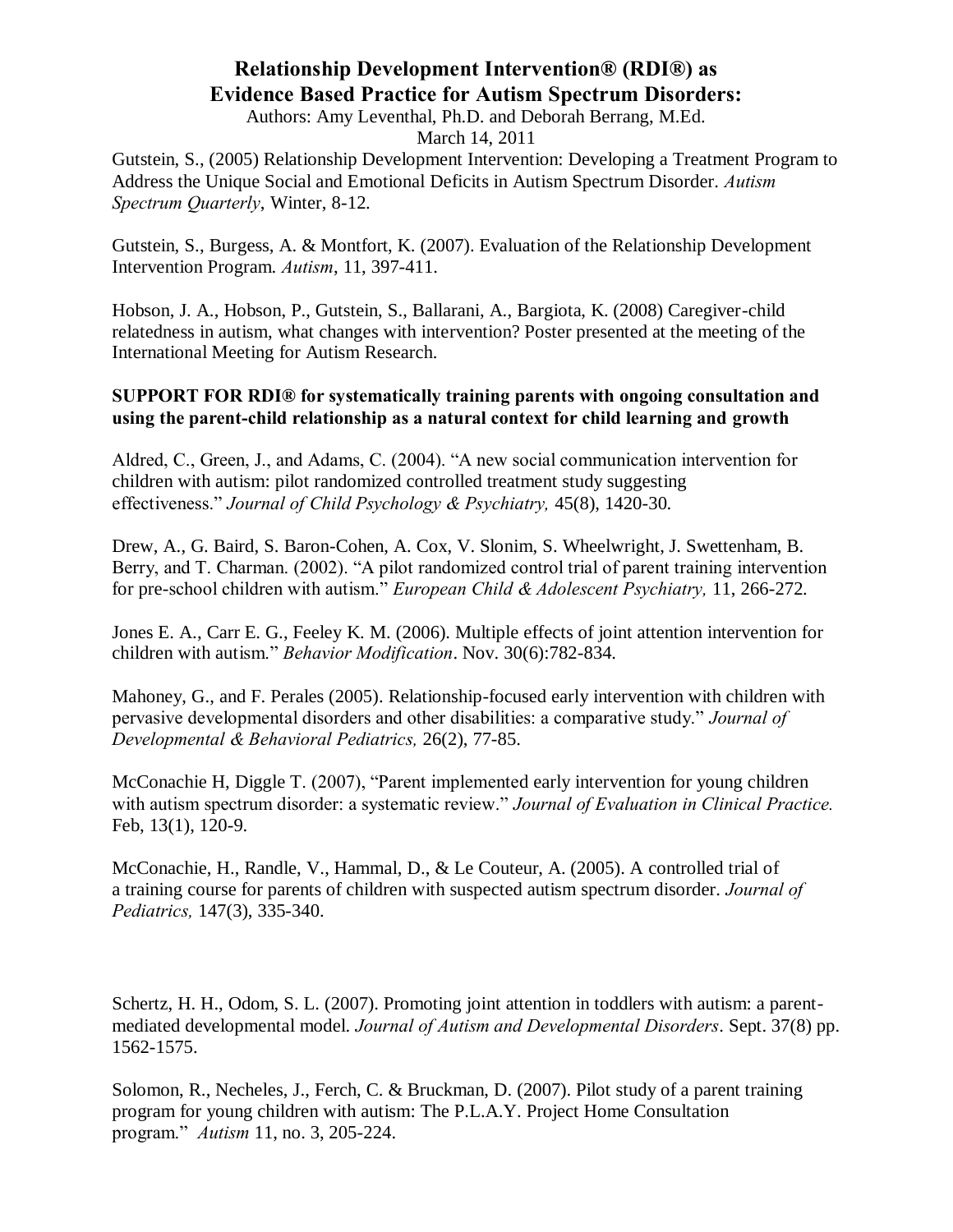Authors: Amy Leventhal, Ph.D. and Deborah Berrang, M.Ed.

March 14, 2011

Gutstein, S., (2005) Relationship Development Intervention: Developing a Treatment Program to Address the Unique Social and Emotional Deficits in Autism Spectrum Disorder. *Autism Spectrum Quarterly*, Winter, 8-12.

Gutstein, S., Burgess, A. & Montfort, K. (2007). Evaluation of the Relationship Development Intervention Program. *Autism*, 11, 397-411.

Hobson, J. A., Hobson, P., Gutstein, S., Ballarani, A., Bargiota, K. (2008) Caregiver-child relatedness in autism, what changes with intervention? Poster presented at the meeting of the International Meeting for Autism Research.

#### **SUPPORT FOR RDI® for systematically training parents with ongoing consultation and using the parent-child relationship as a natural context for child learning and growth**

Aldred, C., Green, J., and Adams, C. (2004). "A new social communication intervention for children with autism: pilot randomized controlled treatment study suggesting effectiveness." *Journal of Child Psychology & Psychiatry,* 45(8), 1420-30.

Drew, A., G. Baird, S. Baron-Cohen, A. Cox, V. Slonim, S. Wheelwright, J. Swettenham, B. Berry, and T. Charman. (2002). "A pilot randomized control trial of parent training intervention for pre-school children with autism." *European Child & Adolescent Psychiatry,* 11, 266-272.

[Jones E. A.](http://www.ncbi.nlm.nih.gov/sites/entrez?Db=pubmed&Cmd=Search&Term=%22Jones%20EA%22%5BAuthor%5D&itool=EntrezSystem2.PEntrez.Pubmed.Pubmed_ResultsPanel.Pubmed_DiscoveryPanel.Pubmed_RVAbstractPlus), [Carr E. G.](http://www.ncbi.nlm.nih.gov/sites/entrez?Db=pubmed&Cmd=Search&Term=%22Carr%20EG%22%5BAuthor%5D&itool=EntrezSystem2.PEntrez.Pubmed.Pubmed_ResultsPanel.Pubmed_DiscoveryPanel.Pubmed_RVAbstractPlus), [Feeley K. M.](http://www.ncbi.nlm.nih.gov/sites/entrez?Db=pubmed&Cmd=Search&Term=%22Feeley%20KM%22%5BAuthor%5D&itool=EntrezSystem2.PEntrez.Pubmed.Pubmed_ResultsPanel.Pubmed_DiscoveryPanel.Pubmed_RVAbstractPlus) (2006). Multiple effects of joint attention intervention for children with autism." *Behavior Modification*. Nov. 30(6):782-834.

Mahoney, G., and F. Perales (2005). Relationship-focused early intervention with children with pervasive developmental disorders and other disabilities: a comparative study." *Journal of Developmental & Behavioral Pediatrics,* 26(2), 77-85.

[McConachie H,](http://www.ncbi.nlm.nih.gov/sites/entrez?Db=pubmed&Cmd=Search&Term=%22McConachie%20H%22%5BAuthor%5D&itool=EntrezSystem2.PEntrez.Pubmed.Pubmed_ResultsPanel.Pubmed_DiscoveryPanel.Pubmed_RVAbstractPlus) [Diggle T.](http://www.ncbi.nlm.nih.gov/sites/entrez?Db=pubmed&Cmd=Search&Term=%22Diggle%20T%22%5BAuthor%5D&itool=EntrezSystem2.PEntrez.Pubmed.Pubmed_ResultsPanel.Pubmed_DiscoveryPanel.Pubmed_RVAbstractPlus) (2007), "Parent implemented early intervention for young children with autism spectrum disorder: a systematic review." *Journal of Evaluation in Clinical Practice.* Feb, 13(1), 120-9.

McConachie, H., Randle, V., Hammal, D., & Le Couteur, A. (2005). A controlled trial of a training course for parents of children with suspected autism spectrum disorder. *Journal of Pediatrics,* 147(3), 335-340.

[Schertz, H. H.](http://www.ncbi.nlm.nih.gov/sites/entrez?Db=pubmed&Cmd=Search&Term=%22Schertz%20HH%22%5BAuthor%5D&itool=EntrezSystem2.PEntrez.Pubmed.Pubmed_ResultsPanel.Pubmed_DiscoveryPanel.Pubmed_RVAbstractPlus), [Odom, S. L.](http://www.ncbi.nlm.nih.gov/sites/entrez?Db=pubmed&Cmd=Search&Term=%22Odom%20SL%22%5BAuthor%5D&itool=EntrezSystem2.PEntrez.Pubmed.Pubmed_ResultsPanel.Pubmed_DiscoveryPanel.Pubmed_RVAbstractPlus) (2007). Promoting joint attention in toddlers with autism: a parentmediated developmental model. *Journal of Autism and Developmental Disorders*. Sept. 37(8) pp. 1562-1575.

Solomon, R., Necheles, J., Ferch, C. & Bruckman, D. (2007). Pilot study of a parent training program for young children with autism: The P.L.A.Y. Project Home Consultation program." *Autism* 11, no. 3, 205-224.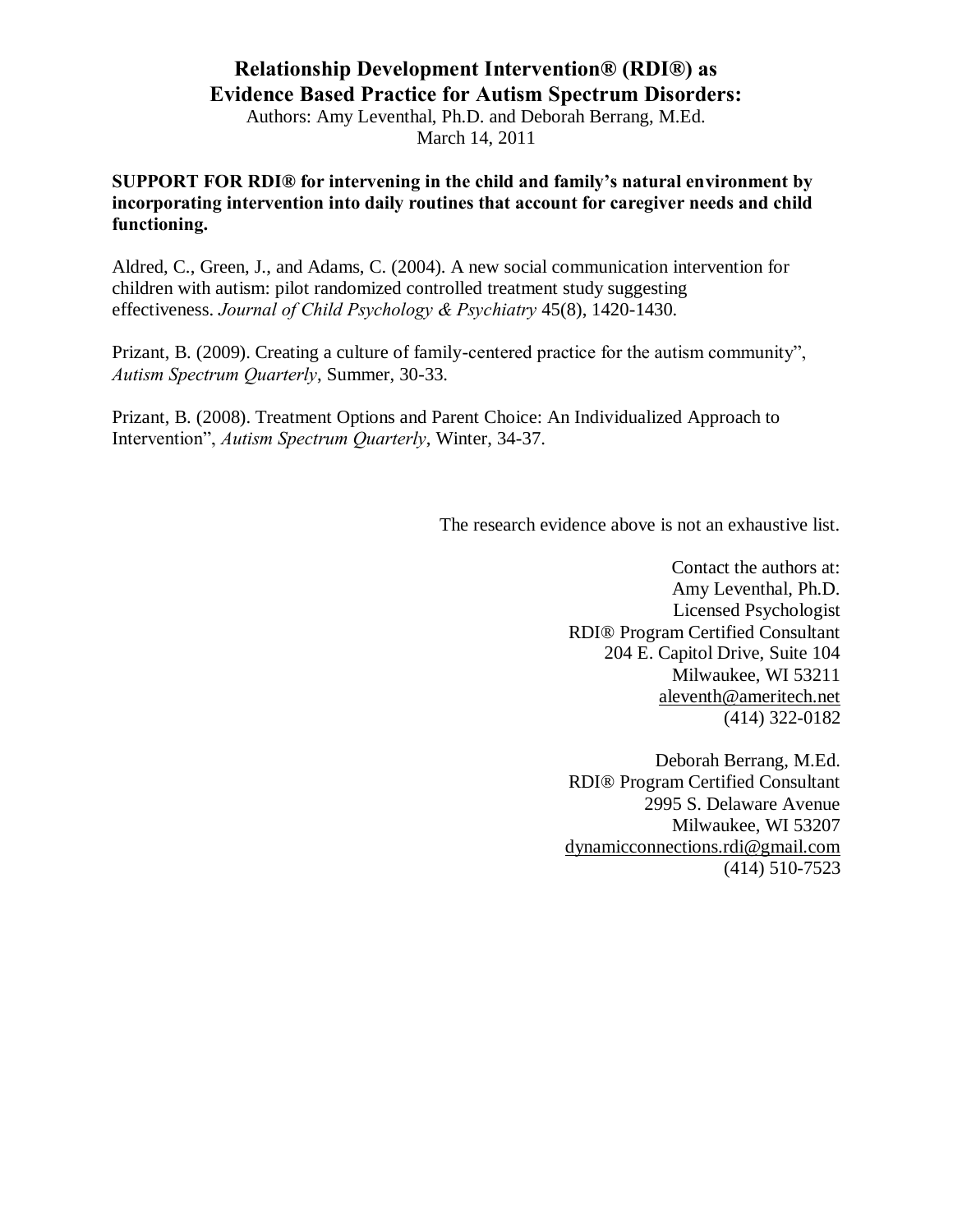Authors: Amy Leventhal, Ph.D. and Deborah Berrang, M.Ed. March 14, 2011

**SUPPORT FOR RDI® for intervening in the child and family's natural environment by incorporating intervention into daily routines that account for caregiver needs and child functioning.**

Aldred, C., Green, J., and Adams, C. (2004). A new social communication intervention for children with autism: pilot randomized controlled treatment study suggesting effectiveness. *Journal of Child Psychology & Psychiatry* 45(8), 1420-1430.

Prizant, B. (2009). Creating a culture of family-centered practice for the autism community", *Autism Spectrum Quarterly*, Summer, 30-33.

Prizant, B. (2008). Treatment Options and Parent Choice: An Individualized Approach to Intervention", *Autism Spectrum Quarterly*, Winter, 34-37.

The research evidence above is not an exhaustive list.

Contact the authors at: Amy Leventhal, Ph.D. Licensed Psychologist RDI® Program Certified Consultant 204 E. Capitol Drive, Suite 104 Milwaukee, WI 53211 [aleventh@ameritech.net](mailto:aleventh@ameritech.net) (414) 322-0182

Deborah Berrang, M.Ed. RDI® Program Certified Consultant 2995 S. Delaware Avenue Milwaukee, WI 53207 [dynamicconnections.rdi@gmail.com](mailto:dynamicconnections@gmail.com) (414) 510-7523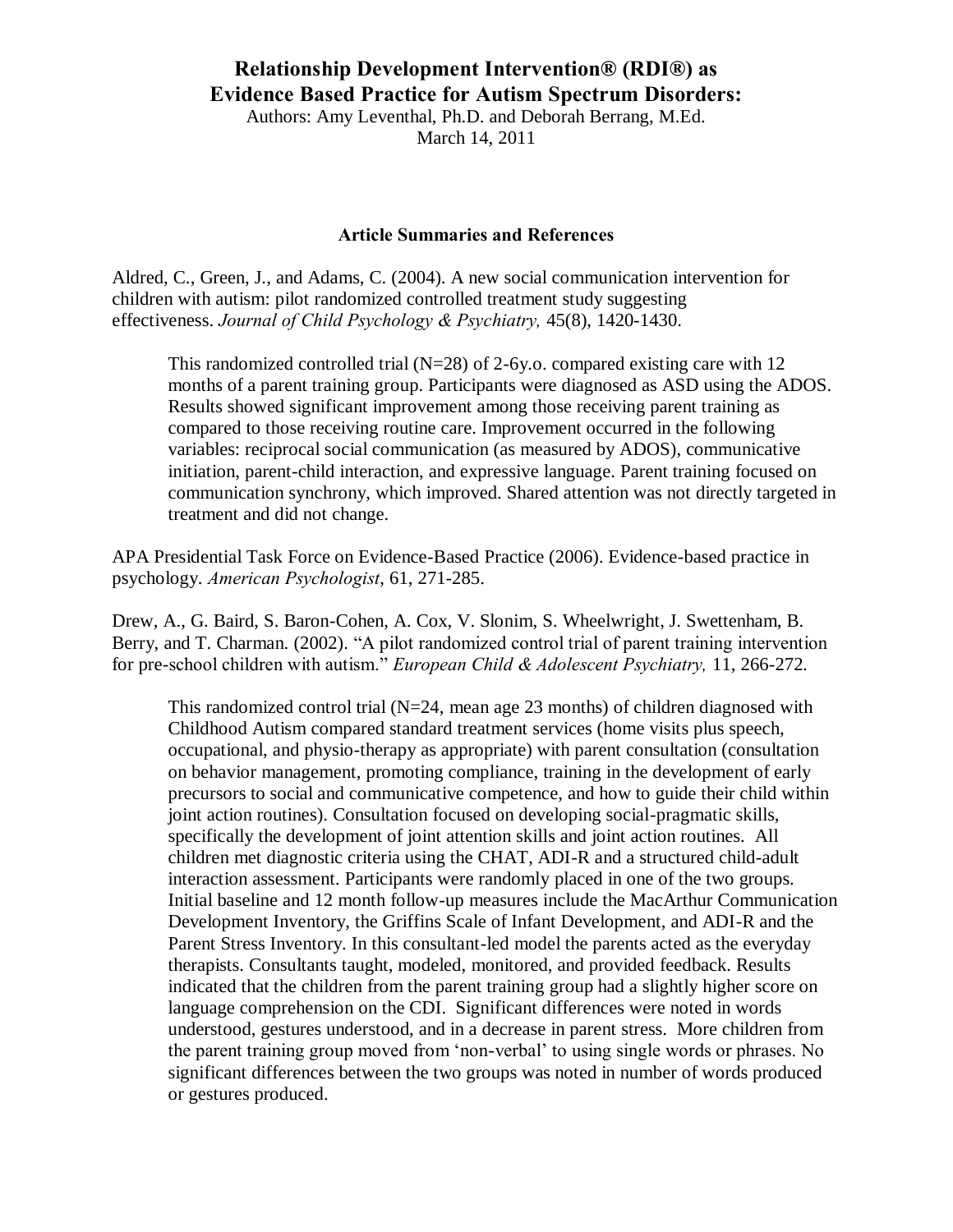Authors: Amy Leventhal, Ph.D. and Deborah Berrang, M.Ed. March 14, 2011

#### **Article Summaries and References**

Aldred, C., Green, J., and Adams, C. (2004). A new social communication intervention for children with autism: pilot randomized controlled treatment study suggesting effectiveness. *Journal of Child Psychology & Psychiatry,* 45(8), 1420-1430.

This randomized controlled trial (N=28) of 2-6y.o. compared existing care with 12 months of a parent training group. Participants were diagnosed as ASD using the ADOS. Results showed significant improvement among those receiving parent training as compared to those receiving routine care. Improvement occurred in the following variables: reciprocal social communication (as measured by ADOS), communicative initiation, parent-child interaction, and expressive language. Parent training focused on communication synchrony, which improved. Shared attention was not directly targeted in treatment and did not change.

APA Presidential Task Force on Evidence-Based Practice (2006). Evidence-based practice in psychology. *American Psychologist*, 61, 271-285.

Drew, A., G. Baird, S. Baron-Cohen, A. Cox, V. Slonim, S. Wheelwright, J. Swettenham, B. Berry, and T. Charman. (2002). "A pilot randomized control trial of parent training intervention for pre-school children with autism." *European Child & Adolescent Psychiatry,* 11, 266-272.

This randomized control trial  $(N=24)$ , mean age 23 months) of children diagnosed with Childhood Autism compared standard treatment services (home visits plus speech, occupational, and physio-therapy as appropriate) with parent consultation (consultation on behavior management, promoting compliance, training in the development of early precursors to social and communicative competence, and how to guide their child within joint action routines). Consultation focused on developing social-pragmatic skills, specifically the development of joint attention skills and joint action routines. All children met diagnostic criteria using the CHAT, ADI-R and a structured child-adult interaction assessment. Participants were randomly placed in one of the two groups. Initial baseline and 12 month follow-up measures include the MacArthur Communication Development Inventory, the Griffins Scale of Infant Development, and ADI-R and the Parent Stress Inventory. In this consultant-led model the parents acted as the everyday therapists. Consultants taught, modeled, monitored, and provided feedback. Results indicated that the children from the parent training group had a slightly higher score on language comprehension on the CDI. Significant differences were noted in words understood, gestures understood, and in a decrease in parent stress. More children from the parent training group moved from 'non-verbal' to using single words or phrases. No significant differences between the two groups was noted in number of words produced or gestures produced.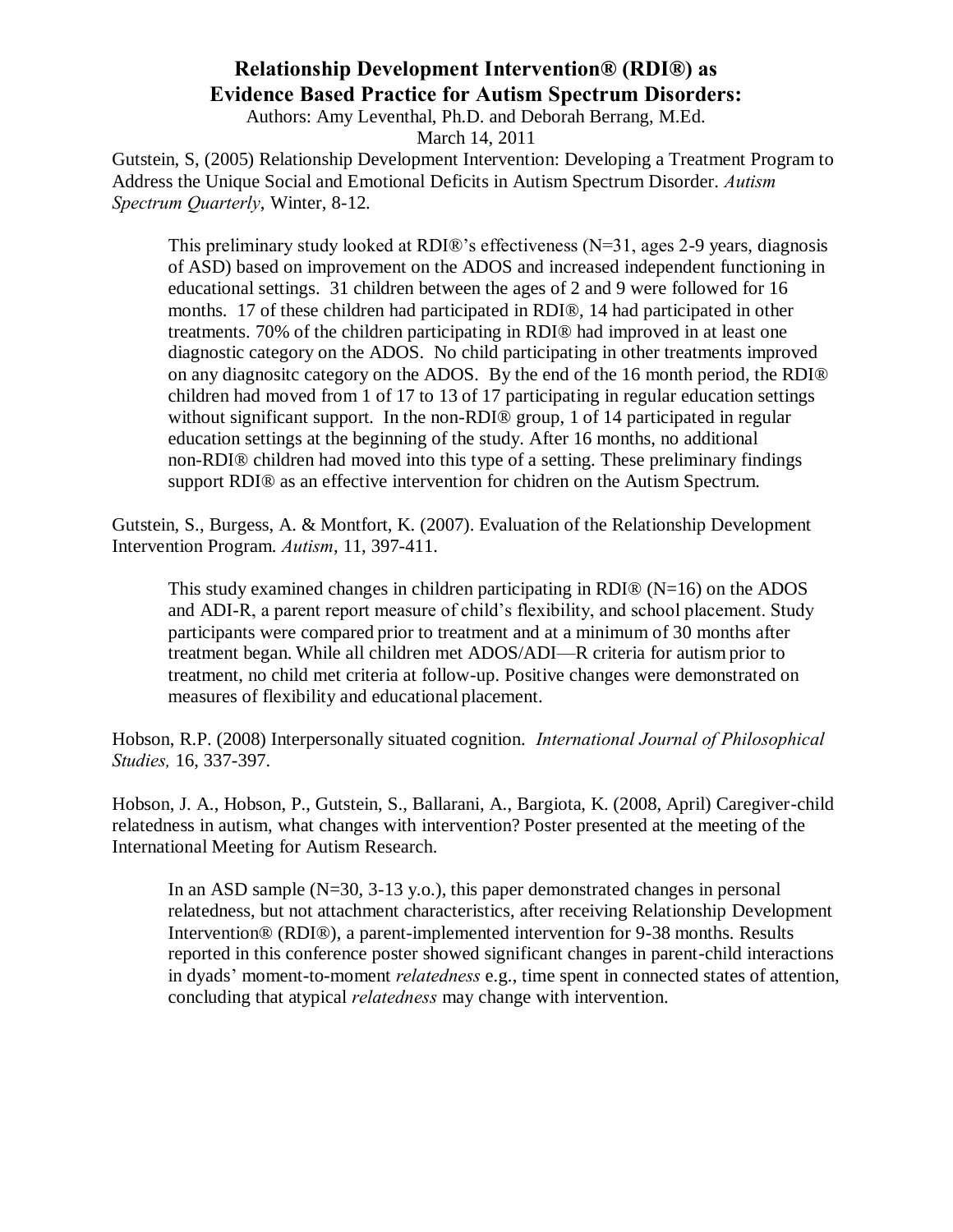Authors: Amy Leventhal, Ph.D. and Deborah Berrang, M.Ed.

March 14, 2011

Gutstein, S, (2005) Relationship Development Intervention: Developing a Treatment Program to Address the Unique Social and Emotional Deficits in Autism Spectrum Disorder. *Autism Spectrum Quarterly*, Winter, 8-12.

This preliminary study looked at RDI®'s effectiveness (N=31, ages 2-9 years, diagnosis of ASD) based on improvement on the ADOS and increased independent functioning in educational settings. 31 children between the ages of 2 and 9 were followed for 16 months. 17 of these children had participated in RDI®, 14 had participated in other treatments. 70% of the children participating in RDI® had improved in at least one diagnostic category on the ADOS. No child participating in other treatments improved on any diagnositc category on the ADOS. By the end of the 16 month period, the RDI® children had moved from 1 of 17 to 13 of 17 participating in regular education settings without significant support. In the non-RDI<sup>®</sup> group, 1 of 14 participated in regular education settings at the beginning of the study. After 16 months, no additional non-RDI® children had moved into this type of a setting. These preliminary findings support RDI® as an effective intervention for chidren on the Autism Spectrum.

Gutstein, S., Burgess, A. & Montfort, K. (2007). Evaluation of the Relationship Development Intervention Program. *Autism*, 11, 397-411.

This study examined changes in children participating in RDI $\omega$  (N=16) on the ADOS and ADI-R, a parent report measure of child's flexibility, and school placement. Study participants were compared prior to treatment and at a minimum of 30 months after treatment began. While all children met ADOS/ADI—R criteria for autism prior to treatment, no child met criteria at follow-up. Positive changes were demonstrated on measures of flexibility and educational placement.

Hobson, R.P. (2008) Interpersonally situated cognition. *International Journal of Philosophical Studies,* 16, 337-397.

Hobson, J. A., Hobson, P., Gutstein, S., Ballarani, A., Bargiota, K. (2008, April) Caregiver-child relatedness in autism, what changes with intervention? Poster presented at the meeting of the International Meeting for Autism Research.

In an ASD sample  $(N=30, 3-13, y.o.).$ , this paper demonstrated changes in personal relatedness, but not attachment characteristics, after receiving Relationship Development Intervention® (RDI®), a parent-implemented intervention for 9-38 months. Results reported in this conference poster showed significant changes in parent-child interactions in dyads' moment-to-moment *relatedness* e.g., time spent in connected states of attention, concluding that atypical *relatedness* may change with intervention.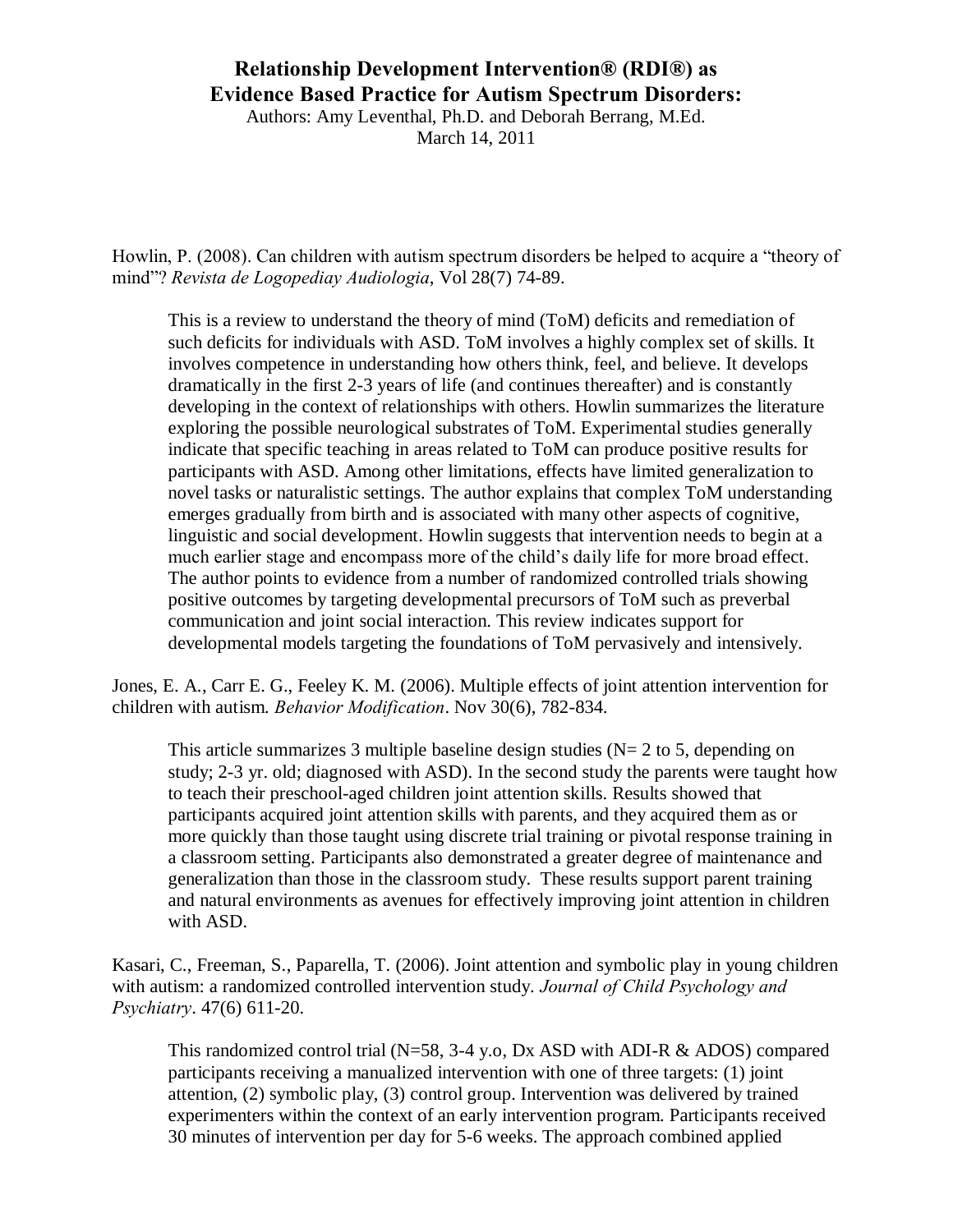Authors: Amy Leventhal, Ph.D. and Deborah Berrang, M.Ed.

March 14, 2011

Howlin, P. (2008). Can children with autism spectrum disorders be helped to acquire a "theory of mind"? *Revista de Logopediay Audiologia*, Vol 28(7) 74-89.

 This is a review to understand the theory of mind (ToM) deficits and remediation of such deficits for individuals with ASD. ToM involves a highly complex set of skills. It involves competence in understanding how others think, feel, and believe. It develops dramatically in the first 2-3 years of life (and continues thereafter) and is constantly developing in the context of relationships with others. Howlin summarizes the literature exploring the possible neurological substrates of ToM. Experimental studies generally indicate that specific teaching in areas related to ToM can produce positive results for participants with ASD. Among other limitations, effects have limited generalization to novel tasks or naturalistic settings. The author explains that complex ToM understanding emerges gradually from birth and is associated with many other aspects of cognitive, linguistic and social development. Howlin suggests that intervention needs to begin at a much earlier stage and encompass more of the child's daily life for more broad effect. The author points to evidence from a number of randomized controlled trials showing positive outcomes by targeting developmental precursors of ToM such as preverbal communication and joint social interaction. This review indicates support for developmental models targeting the foundations of ToM pervasively and intensively.

[Jones, E. A.,](http://www.ncbi.nlm.nih.gov/sites/entrez?Db=pubmed&Cmd=Search&Term=%22Jones%20EA%22%5BAuthor%5D&itool=EntrezSystem2.PEntrez.Pubmed.Pubmed_ResultsPanel.Pubmed_DiscoveryPanel.Pubmed_RVAbstractPlus) [Carr E. G.,](http://www.ncbi.nlm.nih.gov/sites/entrez?Db=pubmed&Cmd=Search&Term=%22Carr%20EG%22%5BAuthor%5D&itool=EntrezSystem2.PEntrez.Pubmed.Pubmed_ResultsPanel.Pubmed_DiscoveryPanel.Pubmed_RVAbstractPlus) [Feeley K. M.](http://www.ncbi.nlm.nih.gov/sites/entrez?Db=pubmed&Cmd=Search&Term=%22Feeley%20KM%22%5BAuthor%5D&itool=EntrezSystem2.PEntrez.Pubmed.Pubmed_ResultsPanel.Pubmed_DiscoveryPanel.Pubmed_RVAbstractPlus) (2006). Multiple effects of joint attention intervention for children with autism. *Behavior Modification*. Nov 30(6), 782-834.

This article summarizes 3 multiple baseline design studies ( $N= 2$  to 5, depending on study; 2-3 yr. old; diagnosed with ASD). In the second study the parents were taught how to teach their preschool-aged children joint attention skills. Results showed that participants acquired joint attention skills with parents, and they acquired them as or more quickly than those taught using discrete trial training or pivotal response training in a classroom setting. Participants also demonstrated a greater degree of maintenance and generalization than those in the classroom study. These results support parent training and natural environments as avenues for effectively improving joint attention in children with ASD.

[Kasari, C.,](http://www.ncbi.nlm.nih.gov/sites/entrez?Db=pubmed&Cmd=Search&Term=%22Kasari%20C%22%5BAuthor%5D&itool=EntrezSystem2.PEntrez.Pubmed.Pubmed_ResultsPanel.Pubmed_DiscoveryPanel.Pubmed_RVAbstractPlus) [Freeman, S.,](http://www.ncbi.nlm.nih.gov/sites/entrez?Db=pubmed&Cmd=Search&Term=%22Freeman%20S%22%5BAuthor%5D&itool=EntrezSystem2.PEntrez.Pubmed.Pubmed_ResultsPanel.Pubmed_DiscoveryPanel.Pubmed_RVAbstractPlus) [Paparella, T.](http://www.ncbi.nlm.nih.gov/sites/entrez?Db=pubmed&Cmd=Search&Term=%22Paparella%20T%22%5BAuthor%5D&itool=EntrezSystem2.PEntrez.Pubmed.Pubmed_ResultsPanel.Pubmed_DiscoveryPanel.Pubmed_RVAbstractPlus) (2006). Joint attention and symbolic play in young children with autism: a randomized controlled intervention study. *Journal of Child Psychology and Psychiatry*. 47(6) 611-20.

This randomized control trial  $(N=58, 3-4, y.o., Dx, ASD with ADI-R & ADOS) compared$ participants receiving a manualized intervention with one of three targets: (1) joint attention, (2) symbolic play, (3) control group. Intervention was delivered by trained experimenters within the context of an early intervention program. Participants received 30 minutes of intervention per day for 5-6 weeks. The approach combined applied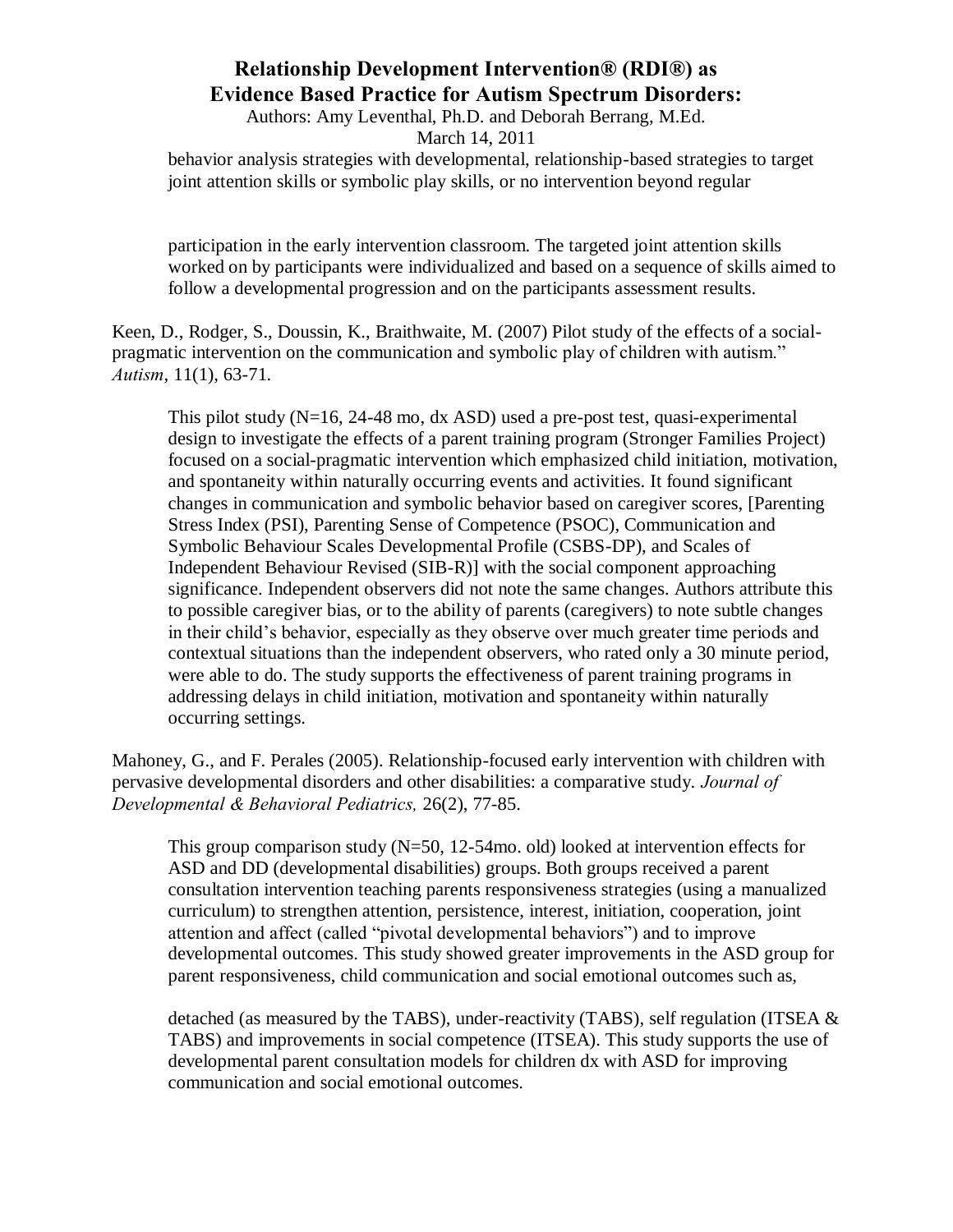Authors: Amy Leventhal, Ph.D. and Deborah Berrang, M.Ed.

March 14, 2011

behavior analysis strategies with developmental, relationship-based strategies to target joint attention skills or symbolic play skills, or no intervention beyond regular

participation in the early intervention classroom. The targeted joint attention skills worked on by participants were individualized and based on a sequence of skills aimed to follow a developmental progression and on the participants assessment results.

[Keen, D.](http://www.ncbi.nlm.nih.gov/sites/entrez?Db=pubmed&Cmd=Search&Term=%22Keen%20D%22%5BAuthor%5D&itool=EntrezSystem2.PEntrez.Pubmed.Pubmed_ResultsPanel.Pubmed_DiscoveryPanel.Pubmed_RVAbstractPlus), [Rodger, S.](http://www.ncbi.nlm.nih.gov/sites/entrez?Db=pubmed&Cmd=Search&Term=%22Rodger%20S%22%5BAuthor%5D&itool=EntrezSystem2.PEntrez.Pubmed.Pubmed_ResultsPanel.Pubmed_DiscoveryPanel.Pubmed_RVAbstractPlus), [Doussin, K.](http://www.ncbi.nlm.nih.gov/sites/entrez?Db=pubmed&Cmd=Search&Term=%22Doussin%20K%22%5BAuthor%5D&itool=EntrezSystem2.PEntrez.Pubmed.Pubmed_ResultsPanel.Pubmed_DiscoveryPanel.Pubmed_RVAbstractPlus), [Braithwaite, M.](http://www.ncbi.nlm.nih.gov/sites/entrez?Db=pubmed&Cmd=Search&Term=%22Braithwaite%20M%22%5BAuthor%5D&itool=EntrezSystem2.PEntrez.Pubmed.Pubmed_ResultsPanel.Pubmed_DiscoveryPanel.Pubmed_RVAbstractPlus) (2007) Pilot study of the effects of a socialpragmatic intervention on the communication and symbolic play of children with autism." *Autism*, 11(1), 63-71.

This pilot study  $(N=16, 24-48 \text{ mo}, dx$  ASD) used a pre-post test, quasi-experimental design to investigate the effects of a parent training program (Stronger Families Project) focused on a social-pragmatic intervention which emphasized child initiation, motivation, and spontaneity within naturally occurring events and activities. It found significant changes in communication and symbolic behavior based on caregiver scores, [Parenting Stress Index (PSI), Parenting Sense of Competence (PSOC), Communication and Symbolic Behaviour Scales Developmental Profile (CSBS-DP), and Scales of Independent Behaviour Revised (SIB-R)] with the social component approaching significance. Independent observers did not note the same changes. Authors attribute this to possible caregiver bias, or to the ability of parents (caregivers) to note subtle changes in their child's behavior, especially as they observe over much greater time periods and contextual situations than the independent observers, who rated only a 30 minute period, were able to do. The study supports the effectiveness of parent training programs in addressing delays in child initiation, motivation and spontaneity within naturally occurring settings.

Mahoney, G., and F. Perales (2005). Relationship-focused early intervention with children with pervasive developmental disorders and other disabilities: a comparative study. *Journal of Developmental & Behavioral Pediatrics,* 26(2), 77-85.

This group comparison study (N=50, 12-54mo. old) looked at intervention effects for ASD and DD (developmental disabilities) groups. Both groups received a parent consultation intervention teaching parents responsiveness strategies (using a manualized curriculum) to strengthen attention, persistence, interest, initiation, cooperation, joint attention and affect (called "pivotal developmental behaviors") and to improve developmental outcomes. This study showed greater improvements in the ASD group for parent responsiveness, child communication and social emotional outcomes such as,

detached (as measured by the TABS), under-reactivity (TABS), self regulation (ITSEA & TABS) and improvements in social competence (ITSEA). This study supports the use of developmental parent consultation models for children dx with ASD for improving communication and social emotional outcomes.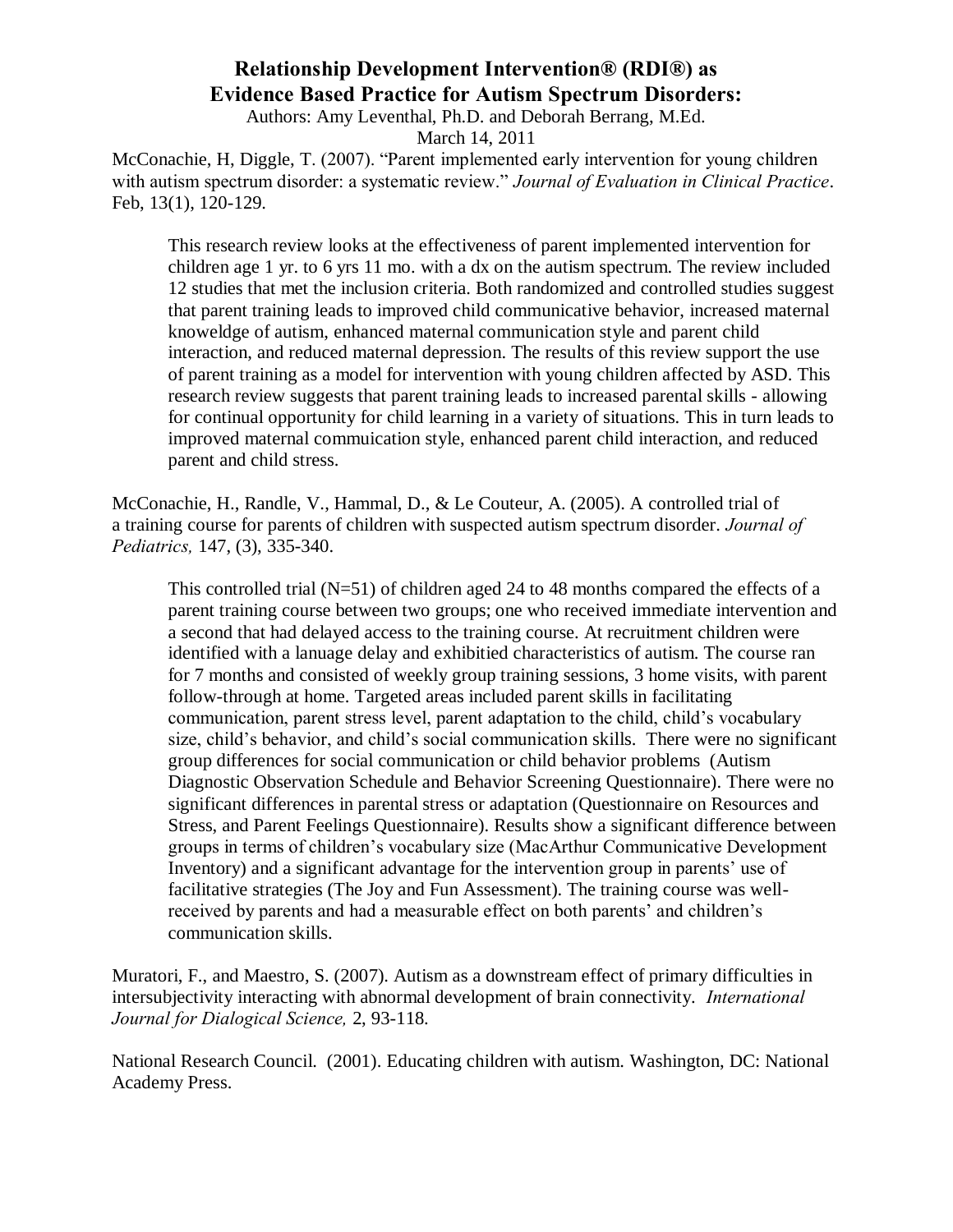Authors: Amy Leventhal, Ph.D. and Deborah Berrang, M.Ed.

March 14, 2011

[McConachie, H,](http://www.ncbi.nlm.nih.gov/sites/entrez?Db=pubmed&Cmd=Search&Term=%22McConachie%20H%22%5BAuthor%5D&itool=EntrezSystem2.PEntrez.Pubmed.Pubmed_ResultsPanel.Pubmed_DiscoveryPanel.Pubmed_RVAbstractPlus) [Diggle, T.](http://www.ncbi.nlm.nih.gov/sites/entrez?Db=pubmed&Cmd=Search&Term=%22Diggle%20T%22%5BAuthor%5D&itool=EntrezSystem2.PEntrez.Pubmed.Pubmed_ResultsPanel.Pubmed_DiscoveryPanel.Pubmed_RVAbstractPlus) (2007). "Parent implemented early intervention for young children with autism spectrum disorder: a systematic review." *Journal of Evaluation in Clinical Practice*. Feb, 13(1), 120-129.

This research review looks at the effectiveness of parent implemented intervention for children age 1 yr. to 6 yrs 11 mo. with a dx on the autism spectrum. The review included 12 studies that met the inclusion criteria. Both randomized and controlled studies suggest that parent training leads to improved child communicative behavior, increased maternal knoweldge of autism, enhanced maternal communication style and parent child interaction, and reduced maternal depression. The results of this review support the use of parent training as a model for intervention with young children affected by ASD. This research review suggests that parent training leads to increased parental skills - allowing for continual opportunity for child learning in a variety of situations. This in turn leads to improved maternal commuication style, enhanced parent child interaction, and reduced parent and child stress.

McConachie, H., Randle, V., Hammal, D., & Le Couteur, A. (2005). A controlled trial of a training course for parents of children with suspected autism spectrum disorder. *Journal of Pediatrics,* 147, (3), 335-340.

This controlled trial  $(N=51)$  of children aged 24 to 48 months compared the effects of a parent training course between two groups; one who received immediate intervention and a second that had delayed access to the training course. At recruitment children were identified with a lanuage delay and exhibitied characteristics of autism. The course ran for 7 months and consisted of weekly group training sessions, 3 home visits, with parent follow-through at home. Targeted areas included parent skills in facilitating communication, parent stress level, parent adaptation to the child, child's vocabulary size, child's behavior, and child's social communication skills. There were no significant group differences for social communication or child behavior problems (Autism Diagnostic Observation Schedule and Behavior Screening Questionnaire). There were no significant differences in parental stress or adaptation (Questionnaire on Resources and Stress, and Parent Feelings Questionnaire). Results show a significant difference between groups in terms of children's vocabulary size (MacArthur Communicative Development Inventory) and a significant advantage for the intervention group in parents' use of facilitative strategies (The Joy and Fun Assessment). The training course was wellreceived by parents and had a measurable effect on both parents' and children's communication skills.

Muratori, F., and Maestro, S. (2007). Autism as a downstream effect of primary difficulties in intersubjectivity interacting with abnormal development of brain connectivity. *International Journal for Dialogical Science,* 2, 93-118.

National Research Council. (2001). Educating children with autism. Washington, DC: National Academy Press.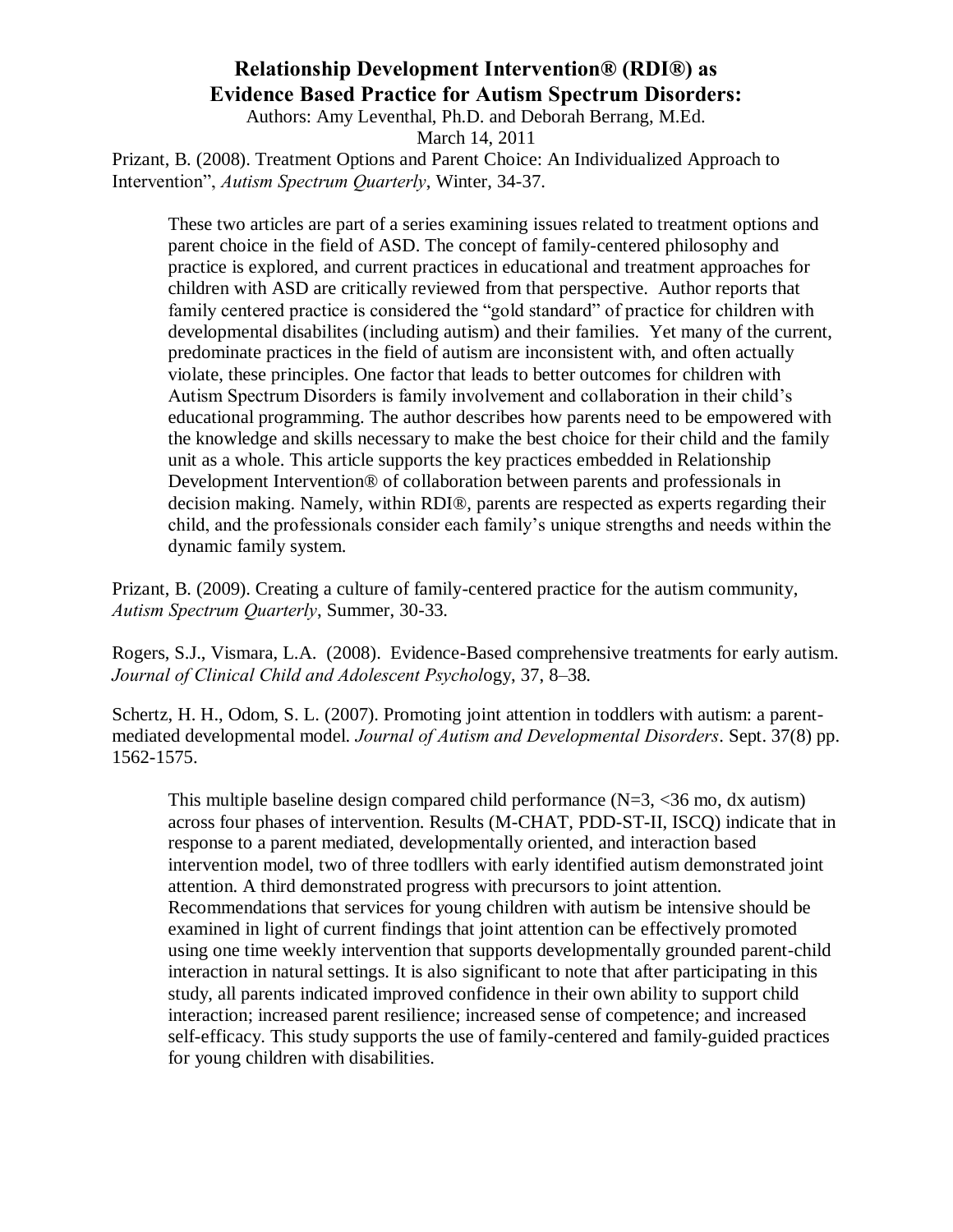Authors: Amy Leventhal, Ph.D. and Deborah Berrang, M.Ed.

March 14, 2011

Prizant, B. (2008). Treatment Options and Parent Choice: An Individualized Approach to Intervention", *Autism Spectrum Quarterly*, Winter, 34-37.

These two articles are part of a series examining issues related to treatment options and parent choice in the field of ASD. The concept of family-centered philosophy and practice is explored, and current practices in educational and treatment approaches for children with ASD are critically reviewed from that perspective. Author reports that family centered practice is considered the "gold standard" of practice for children with developmental disabilites (including autism) and their families. Yet many of the current, predominate practices in the field of autism are inconsistent with, and often actually violate, these principles. One factor that leads to better outcomes for children with Autism Spectrum Disorders is family involvement and collaboration in their child's educational programming. The author describes how parents need to be empowered with the knowledge and skills necessary to make the best choice for their child and the family unit as a whole. This article supports the key practices embedded in Relationship Development Intervention® of collaboration between parents and professionals in decision making. Namely, within RDI®, parents are respected as experts regarding their child, and the professionals consider each family's unique strengths and needs within the dynamic family system.

Prizant, B. (2009). Creating a culture of family-centered practice for the autism community, *Autism Spectrum Quarterly*, Summer, 30-33.

Rogers, S.J., Vismara, L.A. (2008). Evidence-Based comprehensive treatments for early autism. *Journal of Clinical Child and Adolescent Psychol*ogy, 37, 8–38.

[Schertz, H. H.](http://www.ncbi.nlm.nih.gov/sites/entrez?Db=pubmed&Cmd=Search&Term=%22Schertz%20HH%22%5BAuthor%5D&itool=EntrezSystem2.PEntrez.Pubmed.Pubmed_ResultsPanel.Pubmed_DiscoveryPanel.Pubmed_RVAbstractPlus), [Odom, S. L.](http://www.ncbi.nlm.nih.gov/sites/entrez?Db=pubmed&Cmd=Search&Term=%22Odom%20SL%22%5BAuthor%5D&itool=EntrezSystem2.PEntrez.Pubmed.Pubmed_ResultsPanel.Pubmed_DiscoveryPanel.Pubmed_RVAbstractPlus) (2007). Promoting joint attention in toddlers with autism: a parentmediated developmental model. *Journal of Autism and Developmental Disorders*. Sept. 37(8) pp. 1562-1575.

This multiple baseline design compared child performance  $(N=3, \langle 36 \rangle$  mo, dx autism) across four phases of intervention. Results (M-CHAT, PDD-ST-II, ISCQ) indicate that in response to a parent mediated, developmentally oriented, and interaction based intervention model, two of three todllers with early identified autism demonstrated joint attention. A third demonstrated progress with precursors to joint attention. Recommendations that services for young children with autism be intensive should be examined in light of current findings that joint attention can be effectively promoted using one time weekly intervention that supports developmentally grounded parent-child interaction in natural settings. It is also significant to note that after participating in this study, all parents indicated improved confidence in their own ability to support child interaction; increased parent resilience; increased sense of competence; and increased self-efficacy. This study supports the use of family-centered and family-guided practices for young children with disabilities.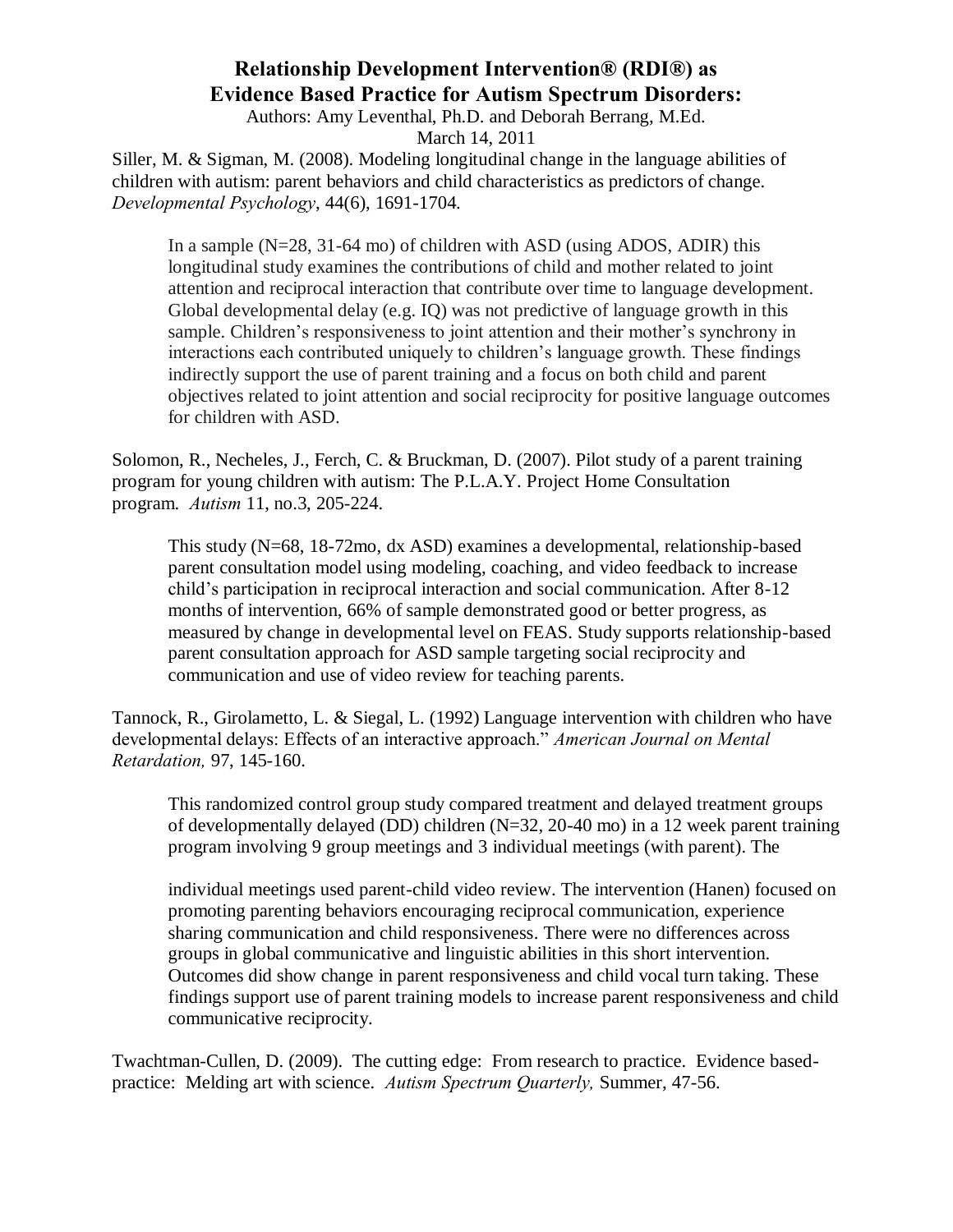Authors: Amy Leventhal, Ph.D. and Deborah Berrang, M.Ed.

March 14, 2011

Siller, M. & Sigman, M. (2008). Modeling longitudinal change in the language abilities of children with autism: parent behaviors and child characteristics as predictors of change. *Developmental Psychology*, 44(6), 1691-1704.

In a sample (N=28, 31-64 mo) of children with ASD (using ADOS, ADIR) this longitudinal study examines the contributions of child and mother related to joint attention and reciprocal interaction that contribute over time to language development. Global developmental delay (e.g. IQ) was not predictive of language growth in this sample. Children's responsiveness to joint attention and their mother's synchrony in interactions each contributed uniquely to children's language growth. These findings indirectly support the use of parent training and a focus on both child and parent objectives related to joint attention and social reciprocity for positive language outcomes for children with ASD.

Solomon, R., Necheles, J., Ferch, C. & Bruckman, D. (2007). Pilot study of a parent training program for young children with autism: The P.L.A.Y. Project Home Consultation program. *Autism* 11, no.3, 205-224.

This study (N=68, 18-72mo, dx ASD) examines a developmental, relationship-based parent consultation model using modeling, coaching, and video feedback to increase child's participation in reciprocal interaction and social communication. After 8-12 months of intervention, 66% of sample demonstrated good or better progress, as measured by change in developmental level on FEAS. Study supports relationship-based parent consultation approach for ASD sample targeting social reciprocity and communication and use of video review for teaching parents.

[Tannock, R.](http://gateway.ut.ovid.com/gw1/ovidweb.cgi?S=IDNJHKKOCHALJK00D&Search+Link=%22Tannock%2c+Rosemary%22.au.), Girolametto, L. & [Siegal, L.](http://gateway.ut.ovid.com/gw1/ovidweb.cgi?S=IDNJHKKOCHALJK00D&Search+Link=%22Siegel%2c+Linda+S%22.au.) (1992) Language intervention with children who have developmental delays: Effects of an interactive approach." *American Journal on Mental Retardation,* 97, 145-160.

This randomized control group study compared treatment and delayed treatment groups of developmentally delayed (DD) children (N=32, 20-40 mo) in a 12 week parent training program involving 9 group meetings and 3 individual meetings (with parent). The

individual meetings used parent-child video review. The intervention (Hanen) focused on promoting parenting behaviors encouraging reciprocal communication, experience sharing communication and child responsiveness. There were no differences across groups in global communicative and linguistic abilities in this short intervention. Outcomes did show change in parent responsiveness and child vocal turn taking. These findings support use of parent training models to increase parent responsiveness and child communicative reciprocity.

Twachtman-Cullen, D. (2009). The cutting edge: From research to practice. Evidence basedpractice: Melding art with science. *Autism Spectrum Quarterly,* Summer, 47-56.